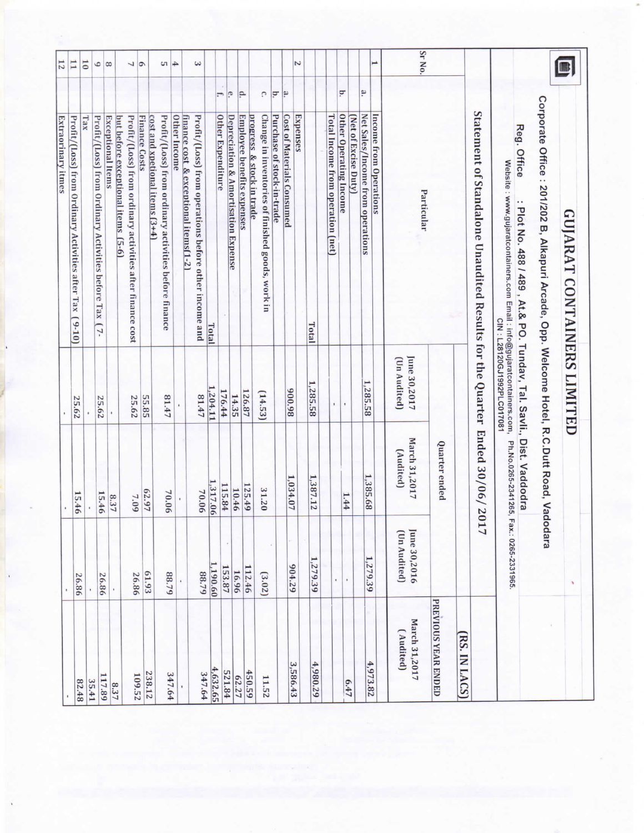| 61.93<br>88.79<br>26.86<br>26.86<br>26.86<br>238.12<br>347.64<br>109.52<br>117.89<br>35.41<br>82.48 | 15.46  |                            | 25.62                        | Profit/(Loss) from Ordinary Activities after Tax (9-10)<br><b>Extraorinary itmes</b>                                                                          | 12<br>H        |
|-----------------------------------------------------------------------------------------------------|--------|----------------------------|------------------------------|---------------------------------------------------------------------------------------------------------------------------------------------------------------|----------------|
|                                                                                                     |        |                            |                              |                                                                                                                                                               |                |
|                                                                                                     |        |                            |                              | Tax                                                                                                                                                           | $\overline{0}$ |
|                                                                                                     |        |                            |                              | Profit/(Loss) from Ordinary Activities before Tax (7-                                                                                                         | ٥              |
|                                                                                                     | 15.46  |                            | 25.62                        | <b>Exceptional Items</b>                                                                                                                                      | $\overline{8}$ |
|                                                                                                     | 8.37   |                            |                              | but before exceptional items<br>$(5-6)$                                                                                                                       |                |
|                                                                                                     | $7.09$ |                            | 25.62                        | Profit/(Loss) from ordinary activities after finance cost                                                                                                     | $\frac{1}{2}$  |
|                                                                                                     |        | 62.97                      | 55.85                        | <b>Finance Costs</b><br>cost and xpetional items (3+4)                                                                                                        |                |
|                                                                                                     | 70.06  |                            | 41.47                        | Profit/(Loss) from ordinary activities before finance                                                                                                         | S.             |
|                                                                                                     |        |                            |                              | Other Income                                                                                                                                                  | 4              |
| 88.79<br>347.64                                                                                     | 70.06  |                            | 81.47                        | Profit/(Loss) from operations before other income and<br>finance cost & exceptional items(1-2)                                                                | ننا            |
| 1,190.60<br>4,632.65                                                                                |        | 317.06                     | 204.11                       | Total                                                                                                                                                         |                |
| 153.87<br>521.84                                                                                    |        | 115.84                     | 176.44                       | Ξ.<br><b>Other Expenditure</b>                                                                                                                                |                |
| 16.96<br>62.27                                                                                      |        | 10.46                      | 14.35                        | e.<br><b>Depreciation &amp; Amortisation Expense</b>                                                                                                          |                |
| 112.46<br>450.59                                                                                    |        | 125.49                     | 126.87                       | p.<br><b>Employee benefits expenses</b>                                                                                                                       |                |
| (3.02)<br>11.52                                                                                     |        | 31.20                      | (14.53)                      | C.<br>Change in inventories of finished goods, work in<br>progress & stock in trade                                                                           |                |
|                                                                                                     |        |                            |                              | ē<br>Purchase of stock-in-trade                                                                                                                               |                |
| 67.796<br>3,586.43                                                                                  |        | 1,034.07                   | 86'006                       | <u>يم</u><br><b>Cost of Materials Consumed</b>                                                                                                                |                |
|                                                                                                     |        |                            |                              | Expenses                                                                                                                                                      |                |
| 1,279.39<br>4,980.29                                                                                |        | 1,387.12                   | 1,285.58                     | Total                                                                                                                                                         |                |
| ï                                                                                                   |        |                            | ×.                           | Total Income from operation (net)                                                                                                                             |                |
| f,                                                                                                  | 1.44   |                            |                              | è<br><b>Other Operating Income</b>                                                                                                                            |                |
|                                                                                                     |        |                            |                              | (Net of Excise Duty)                                                                                                                                          |                |
| 1,279.39<br>4,973.82                                                                                |        | 1,385.68                   | 1,285.58                     | ۹.<br>Net Sales/Income from operations                                                                                                                        |                |
|                                                                                                     |        |                            |                              | <b>Income from Operations</b>                                                                                                                                 |                |
| June 30,2016<br>(Un Audited)<br>March 31,2017<br>(Audited)                                          |        | March 31,2017<br>(Audited) | June 30,2017<br>(Un Audited) | Particular                                                                                                                                                    | Sr No.         |
| PREVIOUS YEAR ENDED                                                                                 |        | Quarter ended              |                              |                                                                                                                                                               |                |
| RS. IN LACS)                                                                                        |        |                            |                              |                                                                                                                                                               |                |
|                                                                                                     | 17     | Ended 30/06/20             |                              | Statement of Standalone Unaudited Results for the Quarter                                                                                                     |                |
| Fax.: 0265-2331965                                                                                  |        | Ph.No.0265-2341265,        | CIN: L28120GJ1992PLC017081   | Reg. Office<br>Website : www.gujaratcontainers.com Email : info@gujaratcontainers.com,<br>: Plot No. 488 / 489 , At.& PO. Tundav, Tal. Savli., Dist. Vaddodra |                |
|                                                                                                     |        |                            |                              | Corporate Office : 201/202 B, Alkapuri Arcade, Opp. Welcome Hotel, R.C.Dutt Road, Vadodara                                                                    |                |
|                                                                                                     |        |                            |                              | <b>GUJARAT CONTAINERS LIMITED</b>                                                                                                                             |                |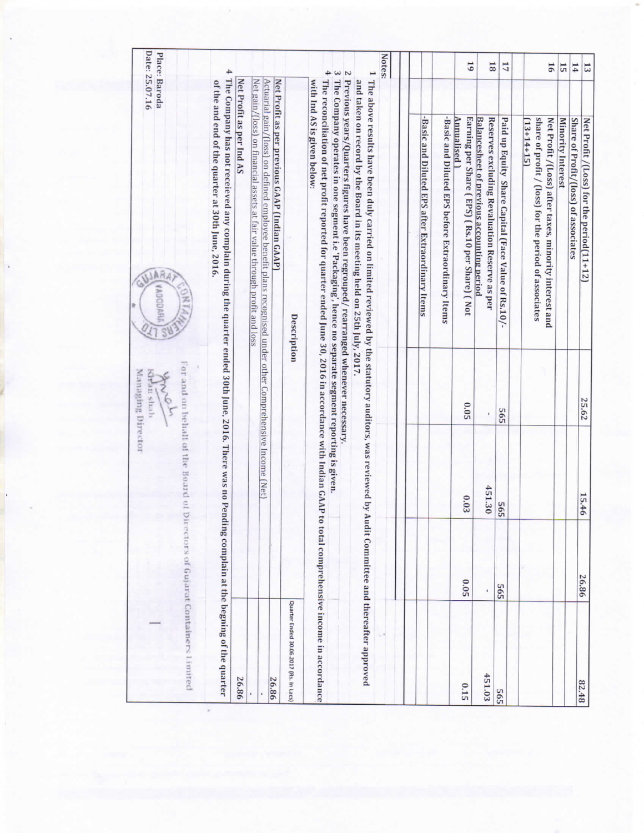|                                         |             |                                     | Managing Director<br>dian shah | Date: 25.07.16<br>Place: Baroda<br><b>JARA</b><br><b>VADODARI</b>                                                                                                                                                             |                                      |
|-----------------------------------------|-------------|-------------------------------------|--------------------------------|-------------------------------------------------------------------------------------------------------------------------------------------------------------------------------------------------------------------------------|--------------------------------------|
| irectors of Gujarat Containers 1 innted |             | For and on behall of the Board of D |                                |                                                                                                                                                                                                                               |                                      |
|                                         |             |                                     |                                | The Company has not receieved any complain during the quarter ended 30th June, 2016. There was no Pending complain at the begning of the quarter<br>of the and end of the quarter at 30th June, 2016.                         | 4                                    |
| 26.86                                   |             |                                     |                                | Net Profit as per Ind AS                                                                                                                                                                                                      |                                      |
|                                         |             |                                     |                                | Net gain/(loss) on financial assets at fair value through profit and loss                                                                                                                                                     |                                      |
| 26.86                                   |             |                                     |                                | Net Profit as per previous GAAP (Indian GAAP)<br>Actuarial gain/[loss] on defined employee benefit plans recognised under other Comprehensive Income [Net]                                                                    |                                      |
| Quarter Ended 30.06.2017 (Rs. In Lacs)  |             |                                     |                                | Description                                                                                                                                                                                                                   |                                      |
|                                         |             |                                     |                                | The reconciliation of net profit reported for quarter ended June 30, 2016 in accordance with Indian GAAP to total comprehensive income in accordance<br>with Ind AS is given below:                                           | 4                                    |
|                                         |             |                                     |                                | The Company operates in one segment i.e 'Packaging', hence no separate segment reporting is given.<br>Previous years/Quarters figures have been regrouped/rearranged whenever necessary.                                      | $\tilde{\epsilon}$<br>$\overline{c}$ |
|                                         |             |                                     |                                | 1 The above results have been duly carried on limited reviewed by the statutory auditors, was reviewed by Audit Committee and thereafter approved<br>and taken on record by the Board in its meeting held on 25th July, 2017. |                                      |
|                                         |             |                                     |                                |                                                                                                                                                                                                                               | Notes:                               |
|                                         |             |                                     |                                | -Basic and Diluted EPS after Extraordinary Items                                                                                                                                                                              |                                      |
|                                         |             |                                     |                                | -Basic and Diluted EPS before Extraordinary Items                                                                                                                                                                             |                                      |
| 0.15                                    | <b>0.05</b> | 0.03                                | 0.05                           | Earning per Share (EPS) (Rs.10 per Share) (Not<br>Annualised)                                                                                                                                                                 | 61                                   |
| 451.03                                  | ×           | 451.30                              |                                | <b>Balancesheet of previous accounting period</b><br>Reserves excluding Revaluation Reserve as per                                                                                                                            | $\overline{81}$                      |
| 565                                     | 565         | 565                                 | 565                            | Paid up Equity Share Capital (Face Value of Rs.10/-                                                                                                                                                                           | 17                                   |
|                                         |             |                                     |                                | share of profit / (loss) for the period of associates<br>Net Profit /(Loss) after taxes, minority interest and<br>$(13+14+15)$                                                                                                | 16                                   |
|                                         |             |                                     |                                | <b>Minority Interest</b>                                                                                                                                                                                                      | 15                                   |
|                                         |             |                                     |                                | Share of Profit/(loss) of associates                                                                                                                                                                                          | 14                                   |
| 82.48                                   | 26.86       | 15.46                               | 25.62                          | Net Profit /(Loss) for the period(11+12)                                                                                                                                                                                      | 13                                   |